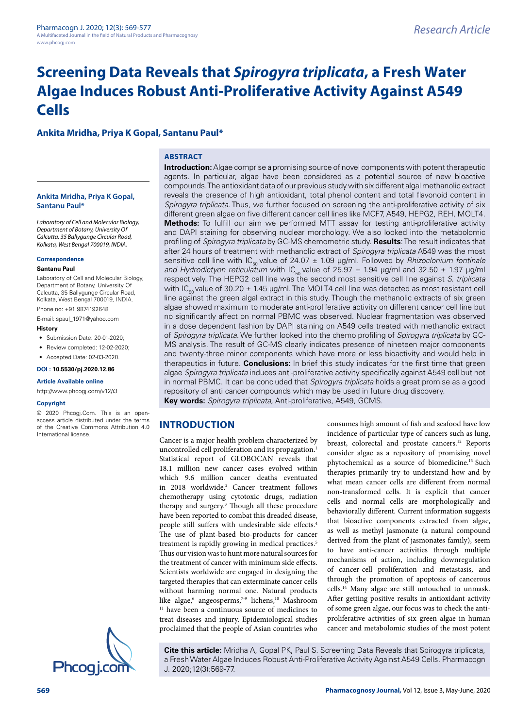# **Screening Data Reveals that Spirogyra triplicata, a Fresh Water Algae Induces Robust Anti-Proliferative Activity Against A549 Cells**

# **Ankita Mridha, Priya K Gopal, Santanu Paul\***

## **ABSTRACT**

**Ankita Mridha, Priya K Gopal, Santanu Paul\***

Laboratory of Cell and Molecular Biology, Department of Botany, University Of Calcutta, 35 Ballygunge Circular Road, Kolkata, West Bengal 700019, INDIA.

#### **Correspondence**

#### **Santanu Paul**

Laboratory of Cell and Molecular Biology, Department of Botany, University Of Calcutta, 35 Ballygunge Circular Road, Kolkata, West Bengal 700019, INDIA. Phone no: +91 9874192648

E-mail: spaul\_1971@yahoo.com

#### **History**

- Submission Date: 20-01-2020:
- Review completed: 12-02-2020;
- Accepted Date: 02-03-2020.

**DOI : 10.5530/pj.2020.12.86**

#### **Article Available online**

http://www.phcogj.com/v12/i3

#### **Copyright**

© 2020 Phcogj.Com. This is an openaccess article distributed under the terms of the Creative Commons Attribution 4.0 International license.



**INTRODUCTION** reveals the presence of high antioxidant, total phenol content and total flavonoid content in Spirogyra triplicata. Thus, we further focused on screening the anti-proliferative activity of six different green algae on five different cancer cell lines like MCF7, A549, HEPG2, REH, MOLT4. **Methods:** To fulfill our aim we performed MTT assay for testing anti-proliferative activity and DAPI staining for observing nuclear morphology. We also looked into the metabolomic profiling of Spirogyra triplicata by GC-MS chemometric study. **Results**: The result indicates that after 24 hours of treatment with methanolic extract of Spirogyra triplicata A549 was the most sensitive cell line with IC<sub>50</sub> value of 24.07  $\pm$  1.09 µg/ml. Followed by *Rhizoclonium fontinale* and Hydrodictyon reticulatum with  $IC_{50}$  value of 25.97  $\pm$  1.94 μg/ml and 32.50  $\pm$  1.97 μg/ml respectively. The HEPG2 cell line was the second most sensitive cell line against S. triplicata with  $IC_{\epsilon_0}$  value of 30.20  $\pm$  1.45 µg/ml. The MOLT4 cell line was detected as most resistant cell line against the green algal extract in this study. Though the methanolic extracts of six green algae showed maximum to moderate anti-proliferative activity on different cancer cell line but no significantly affect on normal PBMC was observed. Nuclear fragmentation was observed in a dose dependent fashion by DAPI staining on A549 cells treated with methanolic extract of Spirogyra triplicata. We further looked into the chemo profiling of Spirogyra triplicata by GC-MS analysis. The result of GC-MS clearly indicates presence of nineteen major components and twenty-three minor components which have more or less bioactivity and would help in therapeutics in future. **Conclusions:** In brief this study indicates for the first time that green algae Spirogyra triplicata induces anti-proliferative activity specifically against A549 cell but not in normal PBMC. It can be concluded that Spirogyra triplicata holds a great promise as a good repository of anti cancer compounds which may be used in future drug discovery. **Key words:** Spirogyra triplicata, Anti-proliferative, A549, GCMS.

**Introduction:** Algae comprise a promising source of novel components with potent therapeutic agents. In particular, algae have been considered as a potential source of new bioactive compounds. The antioxidant data of our previous study with six different algal methanolic extract

Cancer is a major health problem characterized by uncontrolled cell proliferation and its propagation.<sup>1</sup> Statistical report of GLOBOCAN reveals that 18.1 million new cancer cases evolved within which 9.6 million cancer deaths eventuated in 2018 worldwide.<sup>2</sup> Cancer treatment follows chemotherapy using cytotoxic drugs, radiation therapy and surgery.<sup>3</sup> Though all these procedure have been reported to combat this dreaded disease, people still suffers with undesirable side effects.<sup>4</sup> The use of plant-based bio-products for cancer treatment is rapidly growing in medical practices.<sup>5</sup> Thus our vision was to hunt more natural sources for the treatment of cancer with minimum side effects. Scientists worldwide are engaged in designing the targeted therapies that can exterminate cancer cells without harming normal one. Natural products like algae,<sup>6</sup> angeosperms,<sup>7-9</sup> lichens,<sup>10</sup> Mashroom <sup>11</sup> have been a continuous source of medicines to treat diseases and injury. Epidemiological studies proclaimed that the people of Asian countries who

consumes high amount of fish and seafood have low incidence of particular type of cancers such as lung, breast, colorectal and prostate cancers.<sup>12</sup> Reports consider algae as a repository of promising novel phytochemical as a source of biomedicine.<sup>13</sup> Such therapies primarily try to understand how and by what mean cancer cells are different from normal non-transformed cells. It is explicit that cancer cells and normal cells are morphologically and behaviorally different. Current information suggests that bioactive components extracted from algae, as well as methyl jasmonate (a natural compound derived from the plant of jasmonates family), seem to have anti-cancer activities through multiple mechanisms of action, including downregulation of cancer-cell proliferation and metastasis, and through the promotion of apoptosis of cancerous cells.<sup>14</sup> Many algae are still untouched to unmask. After getting positive results in antioxidant activity of some green algae, our focus was to check the antiproliferative activities of six green algae in human cancer and metabolomic studies of the most potent

**Cite this article:** Mridha A, Gopal PK, Paul S. Screening Data Reveals that Spirogyra triplicata, a Fresh Water Algae Induces Robust Anti-Proliferative Activity Against A549 Cells. Pharmacogn J. 2020;12(3):569-77.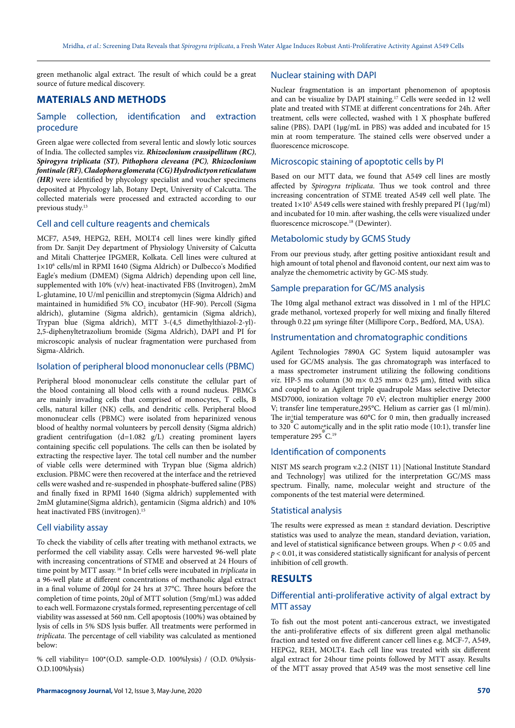green methanolic algal extract. The result of which could be a great source of future medical discovery.

# **MATERIALS AND METHODS**

## Sample collection, identification and extraction procedure

Green algae were collected from several lentic and slowly lotic sources of India. The collected samples viz. **Rhizoclonium crassipellitum (RC)**, **Spirogyra triplicata (ST)**, **Pithophora cleveana (PC)**, **Rhizoclonium fontinale (RF)**, **Cladophora glomerata (CG)Hydrodictyon reticulatum (HR)** were identified by phycology specialist and voucher specimens deposited at Phycology lab, Botany Dept, University of Calcutta. The collected materials were processed and extracted according to our previous study.<sup>13</sup>

#### Cell and cell culture reagents and chemicals

MCF7, A549, HEPG2, REH, MOLT4 cell lines were kindly gifted from Dr. Sanjit Dey department of Physiology University of Calcutta and Mitali Chatterjee IPGMER, Kolkata. Cell lines were cultured at 1×10<sup>6</sup> cells/ml in RPMI 1640 (Sigma Aldrich) or Dulbecco's Modified Eagle's medium (DMEM) (Sigma Aldrich) depending upon cell line, supplemented with 10% (v/v) heat-inactivated FBS (Invitrogen), 2mM L-glutamine, 10 U/ml penicillin and streptomycin (Sigma Aldrich) and maintained in humidified 5%  $\mathrm{CO}_2$  incubator (HF-90). Percoll (Sigma aldrich), glutamine (Sigma aldrich), gentamicin (Sigma aldrich), Trypan blue (Sigma aldrich), MTT 3-(4,5 dimethylthiazol-2-yl)- 2,5-diphenyltetrazolium bromide (Sigma Aldrich), DAPI and PI for microscopic analysis of nuclear fragmentation were purchased from Sigma-Aldrich.

#### Isolation of peripheral blood mononuclear cells (PBMC)

Peripheral blood mononuclear cells constitute the cellular part of the blood containing all blood cells with a round nucleus. PBMCs are mainly invading cells that comprised of monocytes, T cells, B cells, natural killer (NK) cells, and dendritic cells. Peripheral blood mononuclear cells (PBMC) were isolated from heparinized venous blood of healthy normal volunteers by percoll density (Sigma aldrich) gradient centrifugation (d=1.082 g/L) creating prominent layers containing specific cell populations. The cells can then be isolated by extracting the respective layer. The total cell number and the number of viable cells were determined with Trypan blue (Sigma aldrich) exclusion. PBMC were then recovered at the interface and the retrieved cells were washed and re-suspended in phosphate-buffered saline (PBS) and finally fixed in RPMI 1640 (Sigma aldrich) supplemented with 2mM glutamine(Sigma aldrich), gentamicin (Sigma aldrich) and 10% heat inactivated FBS (invitrogen).<sup>15</sup>

#### Cell viability assay

To check the viability of cells after treating with methanol extracts, we performed the cell viability assay. Cells were harvested 96-well plate with increasing concentrations of STME and observed at 24 Hours of time point by MTT assay.<sup>16</sup> In brief cells were incubated in *triplicata* in a 96-well plate at different concentrations of methanolic algal extract in a final volume of 200µl for 24 hrs at 37°C. Three hours before the completion of time points, 20µl of MTT solution (5mg/mL) was added to each well. Formazone crystals formed, representing percentage of cell viability was assessed at 560 nm. Cell apoptosis (100%) was obtained by lysis of cells in 5% SDS lysis buffer. All treatments were performed in triplicata. The percentage of cell viability was calculated as mentioned below:

% cell viability= 100\*(O.D. sample-O.D. 100%lysis) / (O.D. 0%lysis-O.D.100%lysis)

Nuclear staining with DAPI

Nuclear fragmentation is an important phenomenon of apoptosis and can be visualize by DAPI staining.<sup>17</sup> Cells were seeded in 12 well plate and treated with STME at different concentrations for 24h. After treatment, cells were collected, washed with 1 X phosphate buffered saline (PBS). DAPI (1μg/mL in PBS) was added and incubated for 15 min at room temperature. The stained cells were observed under a fluorescence microscope.

## Microscopic staining of apoptotic cells by PI

Based on our MTT data, we found that A549 cell lines are mostly affected by Spirogyra triplicata. Thus we took control and three increasing concentration of STME treated A549 cell well plate. The treated  $1 \times 10^5$  A549 cells were stained with freshly prepared PI ( $1 \mu g/ml$ ) and incubated for 10 min. after washing, the cells were visualized under fluorescence microscope.<sup>18</sup> (Dewinter).

#### Metabolomic study by GCMS Study

From our previous study, after getting positive antioxidant result and high amount of total phenol and flavonoid content, our next aim was to analyze the chemometric activity by GC-MS study.

#### Sample preparation for GC/MS analysis

The 10mg algal methanol extract was dissolved in 1 ml of the HPLC grade methanol, vortexed properly for well mixing and finally filtered through 0.22 μm syringe filter (Millipore Corp., Bedford, MA, USA).

## Instrumentation and chromatographic conditions

Agilent Technologies 7890A GC System liquid autosampler was used for GC/MS analysis. The gas chromatograph was interfaced to a mass spectrometer instrument utilizing the following conditions *viz.* HP-5 ms column (30 m $\times$  0.25 mm $\times$  0.25  $\mu$ m), fitted with silica and coupled to an Agilent triple quadrupole Mass selective Detector MSD7000, ionization voltage 70 eV; electron multiplier energy 2000 V; transfer line temperature,295°C. Helium as carrier gas (1 ml/min). The in<sub>itial</sub> temperature was  $60^{\circ}$ C for 0 min, then gradually increased to 320 C autometically and in the split ratio mode (10:1), transfer line temperature 295 C.<sup>19</sup>

## Identification of components

NIST MS search program v.2.2 (NIST 11) [National Institute Standard and Technology] was utilized for the interpretation GC/MS mass spectrum. Finally, name, molecular weight and structure of the components of the test material were determined.

#### Statistical analysis

The results were expressed as mean ± standard deviation. Descriptive statistics was used to analyze the mean, standard deviation, variation, and level of statistical significance between groups. When  $p < 0.05$  and  $p < 0.01$ , it was considered statistically significant for analysis of percent inhibition of cell growth.

#### **RESULTS**

## Differential anti-proliferative activity of algal extract by MTT assay

To fish out the most potent anti-cancerous extract, we investigated the anti-proliferative effects of six different green algal methanolic fraction and tested on five different cancer cell lines e.g. MCF-7, A549, HEPG2, REH, MOLT4. Each cell line was treated with six different algal extract for 24hour time points followed by MTT assay. Results of the MTT assay proved that A549 was the most sensetive cell line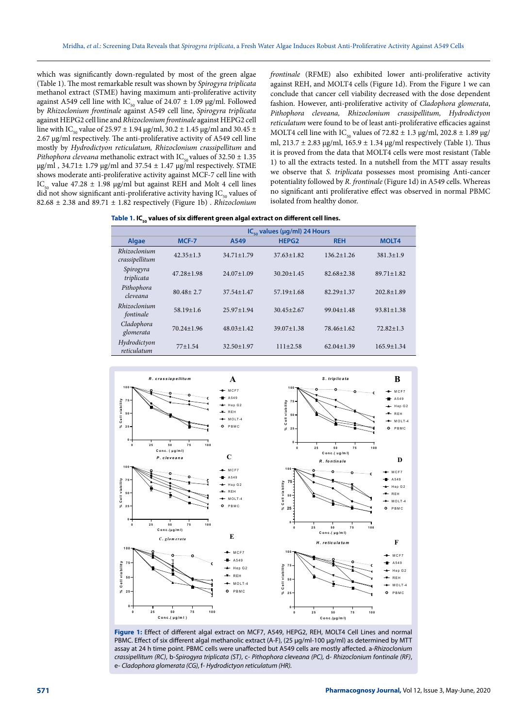which was significantly down-regulated by most of the green algae (Table 1). The most remarkable result was shown by Spirogyra triplicata methanol extract (STME) having maximum anti-proliferative activity against A549 cell line with IC<sub>50</sub> value of 24.07  $\pm$  1.09 μg/ml. Followed by Rhizoclonium frontinale against A549 cell line, Spirogyra triplicata against HEPG2 cell line and Rhizoclonium frontinale against HEPG2 cell line with IC<sub>50</sub> value of 25.97  $\pm$  1.94 μg/ml, 30.2  $\pm$  1.45 μg/ml and 30.45  $\pm$ 2.67 μg/ml respectively. The anti-proliferative activity of A549 cell line mostly by Hydrodictyon reticulatum, Rhizoclonium crassipellitum and Pithophora cleveana methanolic extract with IC<sub>50</sub> values of 32.50  $\pm$  1.35 μg/ml, 34.71 $\pm$  1.79 μg/ml and 37.54  $\pm$  1.47 μg/ml respectively. STME shows moderate anti-proliferative activity against MCF-7 cell line with IC<sub>50</sub> value 47.28  $\pm$  1.98 μg/ml but against REH and Molt 4 cell lines did not show significant anti-proliferative activity having  $IC_{50}$  values of 82.68  $\pm$  2.38 and 89.71  $\pm$  1.82 respectively (Figure 1b) . Rhizoclonium

frontinale (RFME) also exhibited lower anti-proliferative activity against REH, and MOLT4 cells (Figure 1d). From the Figure 1 we can conclude that cancer cell viability decreased with the dose dependent fashion. However, anti-proliferative activity of Cladophora glomerata, Pithophora cleveana, Rhizoclonium crassipellitum, Hydrodictyon reticulatum were found to be of least anti-proliferative efficacies against MOLT4 cell line with IC<sub>50</sub> values of 72.82  $\pm$  1.3 μg/ml, 202.8  $\pm$  1.89 μg/ ml, 213.7  $\pm$  2.83 μg/ml, 165.9  $\pm$  1.34 μg/ml respectively (Table 1). Thus it is proved from the data that MOLT4 cells were most resistant (Table 1) to all the extracts tested. In a nutshell from the MTT assay results we observe that S. triplicata possesses most promising Anti-cancer potentiality followed by R. frontinale (Figure 1d) in A549 cells. Whereas no significant anti proliferative effect was observed in normal PBMC isolated from healthy donor.

| Table 1. IC <sub>so</sub> values of six different green algal extract on different cell lines. |  |  |
|------------------------------------------------------------------------------------------------|--|--|
|------------------------------------------------------------------------------------------------|--|--|

|                                | $IC_{\text{eq}}$ values ( $\mu$ g/ml) 24 Hours |                  |                   |                  |                  |  |
|--------------------------------|------------------------------------------------|------------------|-------------------|------------------|------------------|--|
| Algae                          | MCF-7                                          | A549             | HEPG <sub>2</sub> | <b>REH</b>       | <b>MOLT4</b>     |  |
| Rhizoclonium<br>crassipellitum | $42.35 + 1.3$                                  | $34.71 \pm 1.79$ | $37.63 \pm 1.82$  | $136.2 \pm 1.26$ | $381.3 \pm 1.9$  |  |
| Spirogyra<br>triplicata        | $47.28 + 1.98$                                 | $24.07 \pm 1.09$ | $30.20 \pm 1.45$  | $82.68 + 2.38$   | $89.71 \pm 1.82$ |  |
| Pithophora<br>cleveana         | $80.48 + 2.7$                                  | $37.54 \pm 1.47$ | $57.19 + 1.68$    | $82.29 + 1.37$   | $202.8 + 1.89$   |  |
| Rhizoclonium<br>fontinale      | $58.19 \pm 1.6$                                | $25.97 + 1.94$   | $30.45 + 2.67$    | $99.04 \pm 1.48$ | $93.81 \pm 1.38$ |  |
| Cladophora<br>glomerata        | $70.24 + 1.96$                                 | $48.03 \pm 1.42$ | $39.07 + 1.38$    | 78.46+1.62       | $72.82 + 1.3$    |  |
| Hydrodictyon<br>reticulatum    | $77+1.54$                                      | $32.50 \pm 1.97$ | $111 \pm 2.58$    | $62.04 \pm 1.39$ | $165.9 \pm 1.34$ |  |



**Figure 1:** Effect of different algal extract on MCF7, A549, HEPG2, REH, MOLT4 Cell Lines and normal PBMC. Effect of six different algal methanolic extract (A-F), (25 μg/ml-100 μg/ml) as determined by MTT assay at 24 h time point. PBMC cells were unaffected but A549 cells are mostly affected. a-Rhizoclonium crassipellitum (RC), b-Spirogyra triplicata (ST), c- Pithophora cleveana (PC), d- Rhizoclonium fontinale (RF), e- Cladophora glomerata (CG), f- Hydrodictyon reticulatum (HR).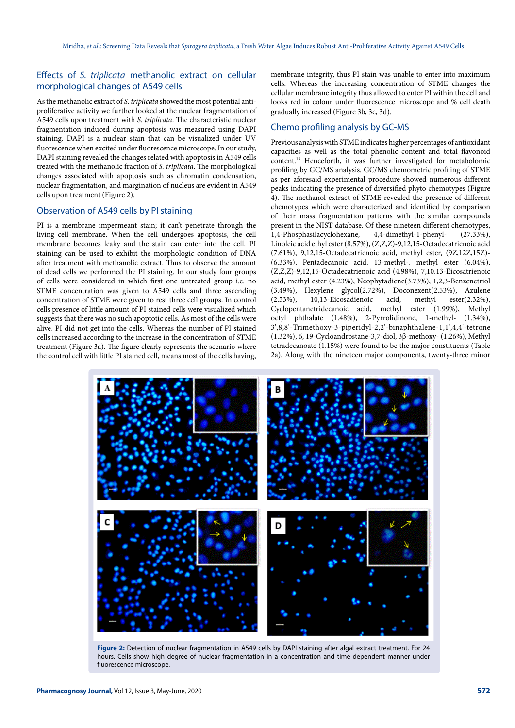## Effects of S. triplicata methanolic extract on cellular morphological changes of A549 cells

As the methanolic extract of S. triplicata showed the most potential antiproliferative activity we further looked at the nuclear fragmentation of A549 cells upon treatment with S. triplicata. The characteristic nuclear fragmentation induced during apoptosis was measured using DAPI staining. DAPI is a nuclear stain that can be visualized under UV fluorescence when excited under fluorescence microscope. In our study, DAPI staining revealed the changes related with apoptosis in A549 cells treated with the methanolic fraction of S. triplicata. The morphological changes associated with apoptosis such as chromatin condensation, nuclear fragmentation, and margination of nucleus are evident in A549 cells upon treatment (Figure 2).

## Observation of A549 cells by PI staining

PI is a membrane impermeant stain; it can't penetrate through the living cell membrane. When the cell undergoes apoptosis, the cell membrane becomes leaky and the stain can enter into the cell. PI staining can be used to exhibit the morphologic condition of DNA after treatment with methanolic extract. Thus to observe the amount of dead cells we performed the PI staining. In our study four groups of cells were considered in which first one untreated group i.e. no STME concentration was given to A549 cells and three ascending concentration of STME were given to rest three cell groups. In control cells presence of little amount of PI stained cells were visualized which suggests that there was no such apoptotic cells. As most of the cells were alive, PI did not get into the cells. Whereas the number of PI stained cells increased according to the increase in the concentration of STME treatment (Figure 3a). The figure clearly represents the scenario where the control cell with little PI stained cell, means most of the cells having, membrane integrity, thus PI stain was unable to enter into maximum cells. Whereas the increasing concentration of STME changes the cellular membrane integrity thus allowed to enter PI within the cell and looks red in colour under fluorescence microscope and % cell death gradually increased (Figure 3b, 3c, 3d).

## Chemo profiling analysis by GC-MS

Previous analysis with STME indicates higher percentages of antioxidant capacities as well as the total phenolic content and total flavonoid content.<sup>13</sup> Henceforth, it was further investigated for metabolomic profiling by GC/MS analysis. GC/MS chemometric profiling of STME as per aforesaid experimental procedure showed numerous different peaks indicating the presence of diversified phyto chemotypes (Figure 4). The methanol extract of STME revealed the presence of different chemotypes which were characterized and identified by comparison of their mass fragmentation patterns with the similar compounds present in the NIST database. Of these nineteen different chemotypes, 1,4-Phosphasilacyclohexane, 4,4-dimethyl-1-phenyl- (27.33%), Linoleic acid ethyl ester (8.57%), (Z,Z,Z)-9,12,15-Octadecatrienoic acid (7.61%), 9,12,15-Octadecatrienoic acid, methyl ester, (9Z,12Z,15Z)- (6.33%), Pentadecanoic acid, 13-methyl-, methyl ester (6.04%), (Z,Z,Z)-9,12,15-Octadecatrienoic acid (4.98%), 7,10.13-Eicosatrienoic acid, methyl ester (4.23%), Neophytadiene(3.73%), 1,2,3-Benzenetriol (3.49%), Hexylene glycol $(2.72\%)$ , Doconexent $(2.53\%)$ , Azulene  $(2.53\%)$ , 10,13-Eicosadienoic acid, methyl ester $(2.32\%)$ . (2.53%), 10,13-Eicosadienoic acid, methyl ester(2.32%), Cyclopentanetridecanoic acid, methyl ester (1.99%), Methyl octyl phthalate (1.48%), 2-Pyrrolidinone, 1-methyl- (1.34%), 3',8,8'-Trimethoxy-3-piperidyl-2,2'-binaphthalene-1,1',4,4'-tetrone (1.32%), 6, 19-Cycloandrostane-3,7-diol, 3β-methoxy- (1.26%), Methyl tetradecanoate (1.15%) were found to be the major constituents (Table 2a). Along with the nineteen major components, twenty-three minor



**Figure 2:** Detection of nuclear fragmentation in A549 cells by DAPI staining after algal extract treatment. For 24 hours. Cells show high degree of nuclear fragmentation in a concentration and time dependent manner under fluorescence microscope.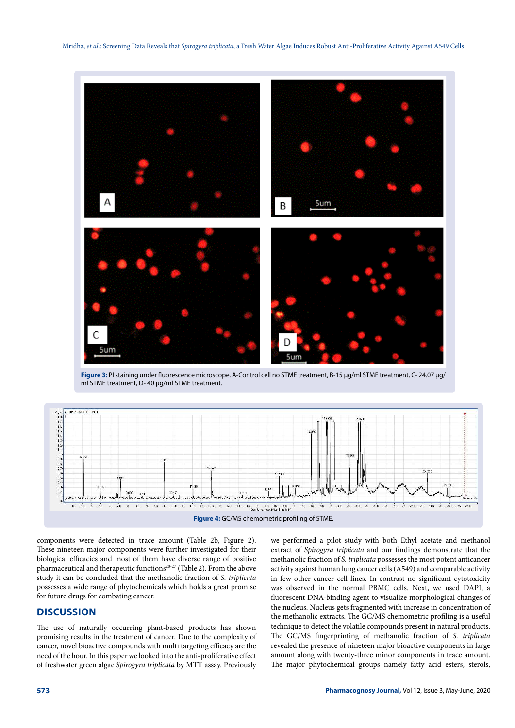

**Figure 3:** PI staining under fluorescence microscope. A-Control cell no STME treatment, B-15 μg/ml STME treatment, C- 24.07 μg/ ml STME treatment, D- 40 μg/ml STME treatment.



components were detected in trace amount (Table 2b, Figure 2). These nineteen major components were further investigated for their biological efficacies and most of them have diverse range of positive pharmaceutical and therapeutic functions<sup>20-27</sup> (Table 2). From the above study it can be concluded that the methanolic fraction of S. triplicata possesses a wide range of phytochemicals which holds a great promise for future drugs for combating cancer.

# **DISCUSSION**

The use of naturally occurring plant-based products has shown promising results in the treatment of cancer. Due to the complexity of cancer, novel bioactive compounds with multi targeting efficacy are the need of the hour. In this paper we looked into the anti-proliferative effect of freshwater green algae Spirogyra triplicata by MTT assay. Previously

we performed a pilot study with both Ethyl acetate and methanol extract of Spirogyra triplicata and our findings demonstrate that the methanolic fraction of S. triplicata possesses the most potent anticancer activity against human lung cancer cells (A549) and comparable activity in few other cancer cell lines. In contrast no significant cytotoxicity was observed in the normal PBMC cells. Next, we used DAPI, a fluorescent DNA-binding agent to visualize morphological changes of the nucleus. Nucleus gets fragmented with increase in concentration of the methanolic extracts. The GC/MS chemometric profiling is a useful technique to detect the volatile compounds present in natural products. The GC/MS fingerprinting of methanolic fraction of S. triplicata revealed the presence of nineteen major bioactive components in large amount along with twenty-three minor components in trace amount. The major phytochemical groups namely fatty acid esters, sterols,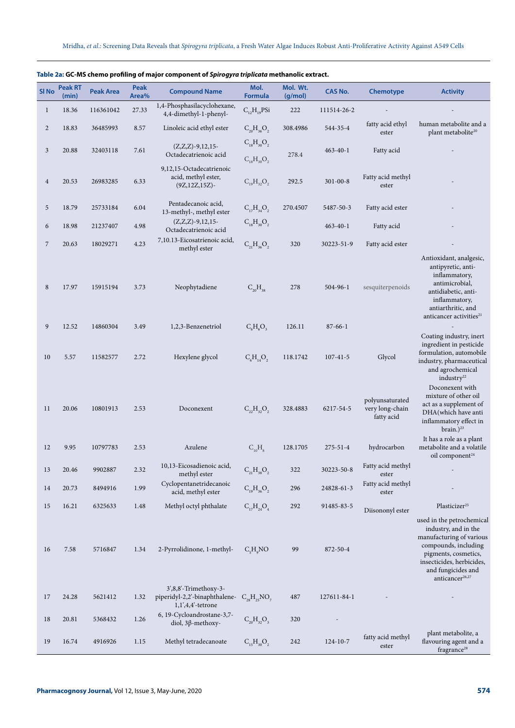|                  | <b>Peak RT</b> |                  | Peak  |                                                                                | Mol.               | Mol. Wt. |                |                                                  |                                                                                                                                                                                                                 |
|------------------|----------------|------------------|-------|--------------------------------------------------------------------------------|--------------------|----------|----------------|--------------------------------------------------|-----------------------------------------------------------------------------------------------------------------------------------------------------------------------------------------------------------------|
| SI <sub>No</sub> | (min)          | <b>Peak Area</b> | Area% | <b>Compound Name</b>                                                           | <b>Formula</b>     | (g/mol)  | <b>CAS No.</b> | Chemotype                                        | <b>Activity</b>                                                                                                                                                                                                 |
| $\mathbf{1}$     | 18.36          | 116361042        | 27.33 | 1,4-Phosphasilacyclohexane,<br>4,4-dimethyl-1-phenyl-                          | $C_{12}H_{19}PSi$  | 222      | 111514-26-2    |                                                  |                                                                                                                                                                                                                 |
| 2                | 18.83          | 36485993         | 8.57  | Linoleic acid ethyl ester                                                      | $C_{20}H_{36}O_2$  | 308.4986 | 544-35-4       | fatty acid ethyl<br>ester                        | human metabolite and a<br>plant metabolite <sup>20</sup>                                                                                                                                                        |
| 3                | 20.88          | 32403118         | 7.61  | $(Z,Z,Z)$ -9,12,15-                                                            | $C_{18}H_{30}O_2$  |          | $463 - 40 - 1$ | Fatty acid                                       |                                                                                                                                                                                                                 |
|                  |                |                  |       | Octadecatrienoic acid<br>9,12,15-Octadecatrienoic                              | $C_{18}H_{30}O_2$  | 278.4    |                |                                                  |                                                                                                                                                                                                                 |
| $\overline{4}$   | 20.53          | 26983285         | 6.33  | acid, methyl ester,<br>$(9Z, 12Z, 15Z)$ -                                      | $C_{19}H_{32}O_2$  | 292.5    | $301 - 00 - 8$ | Fatty acid methyl<br>ester                       |                                                                                                                                                                                                                 |
| 5                | 18.79          | 25733184         | 6.04  | Pentadecanoic acid,<br>13-methyl-, methyl ester                                | $C_{17}H_{34}O_2$  | 270.4507 | 5487-50-3      | Fatty acid ester                                 |                                                                                                                                                                                                                 |
| 6                | 18.98          | 21237407         | 4.98  | $(Z,Z,Z)$ -9,12,15-<br>Octadecatrienoic acid                                   | $C_{18}H_{30}O_2$  |          | $463 - 40 - 1$ | Fatty acid                                       |                                                                                                                                                                                                                 |
| $\overline{7}$   | 20.63          | 18029271         | 4.23  | 7,10.13-Eicosatrienoic acid,<br>methyl ester                                   | $C_{21}H_{36}O_2$  | 320      | 30223-51-9     | Fatty acid ester                                 |                                                                                                                                                                                                                 |
| $\,8\,$          | 17.97          | 15915194         | 3.73  | Neophytadiene                                                                  | $C_{20}H_{38}$     | 278      | $504 - 96 - 1$ | sesquiterpenoids                                 | Antioxidant, analgesic,<br>antipyretic, anti-<br>inflammatory,<br>antimicrobial,<br>antidiabetic, anti-<br>inflammatory,<br>antiarthritic, and<br>anticancer activities <sup>21</sup>                           |
| 9                | 12.52          | 14860304         | 3.49  | 1,2,3-Benzenetriol                                                             | $C_6H_6O_3$        | 126.11   | $87 - 66 - 1$  |                                                  |                                                                                                                                                                                                                 |
| 10               | 5.57           | 11582577         | 2.72  | Hexylene glycol                                                                | $C_6H_{14}O_2$     | 118.1742 | $107 - 41 - 5$ | Glycol                                           | Coating industry, inert<br>ingredient in pesticide<br>formulation, automobile<br>industry, pharmaceutical<br>and agrochemical<br>industry <sup>22</sup>                                                         |
| 11               | 20.06          | 10801913         | 2.53  | Doconexent                                                                     | $C_{22}H_{32}O_2$  | 328.4883 | 6217-54-5      | polyunsaturated<br>very long-chain<br>fatty acid | Doconexent with<br>mixture of other oil<br>act as a supplement of<br>DHA(which have anti<br>inflammatory effect in<br>brain. $)^{23}$                                                                           |
| 12               | 9.95           | 10797783         | 2.53  | Azulene                                                                        | $C_{10}H_8$        | 128.1705 | $275 - 51 - 4$ | hydrocarbon                                      | It has a role as a plant<br>metabolite and a volatile<br>oil component <sup>24</sup>                                                                                                                            |
| 13               | 20.46          | 9902887          | 2.32  | 10,13-Eicosadienoic acid,<br>methyl ester                                      | $C_{21}H_{38}O_2$  | 322      | 30223-50-8     | Fatty acid methyl<br>ester                       |                                                                                                                                                                                                                 |
| 14               | 20.73          | 8494916          | 1.99  | Cyclopentanetridecanoic<br>acid, methyl ester                                  | $C_{19}H_{36}O_2$  | 296      | 24828-61-3     | Fatty acid methyl<br>ester                       |                                                                                                                                                                                                                 |
| 15               | 16.21          | 6325633          | 1.48  | Methyl octyl phthalate                                                         | $C_{17}H_{24}O_4$  | 292      | 91485-83-5     | Diisononyl ester                                 | Plasticizer <sup>25</sup>                                                                                                                                                                                       |
| 16               | 7.58           | 5716847          | 1.34  | 2-Pyrrolidinone, 1-methyl-                                                     | $C_{s}H_{o}NO$     | 99       | 872-50-4       |                                                  | used in the petrochemical<br>industry, and in the<br>manufacturing of various<br>compounds, including<br>pigments, cosmetics,<br>insecticides, herbicides,<br>and fungicides and<br>anticancer <sup>26,27</sup> |
| 17               | 24.28          | 5621412          | 1.32  | 3',8,8'-Trimethoxy-3-<br>piperidyl-2,2'-binaphthalene-<br>$1,1',4,4'$ -tetrone | $C_{28}H_{25}NO_7$ | 487      | 127611-84-1    |                                                  |                                                                                                                                                                                                                 |
| 18               | 20.81          | 5368432          | 1.26  | 6, 19-Cycloandrostane-3,7-<br>diol, $3\beta$ -methoxy-                         | $C_{20}H_{32}O_3$  | 320      |                |                                                  |                                                                                                                                                                                                                 |
| 19               | 16.74          | 4916926          | 1.15  | Methyl tetradecanoate                                                          | $C_{15}H_{30}O_2$  | 242      | $124 - 10 - 7$ | fatty acid methyl<br>ester                       | plant metabolite, a<br>flavouring agent and a<br>fragrance <sup>28</sup>                                                                                                                                        |

# **Table 2a: GC-MS chemo profiling of major component of Spirogyra triplicata methanolic extract.**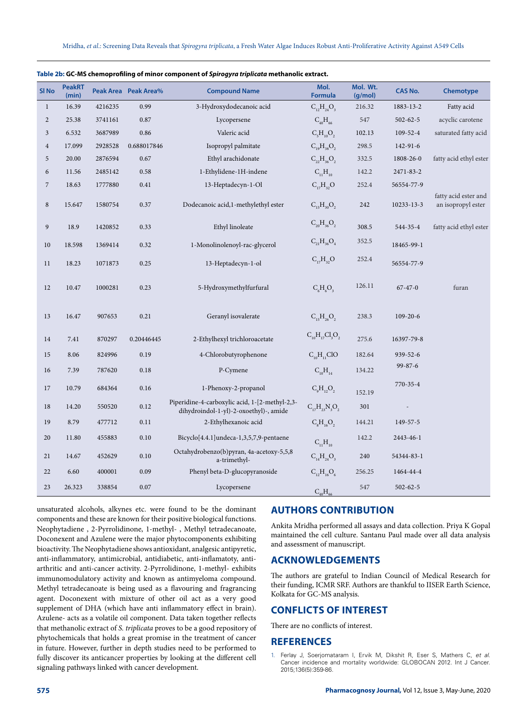| SI <sub>No</sub> | <b>PeakRT</b><br>(min) |         | Peak Area Peak Area% | <b>Compound Name</b>                                                                     | Mol.<br><b>Formula</b>                 | Mol. Wt.<br>(g/mol) | <b>CAS No.</b> | <b>Chemotype</b>                           |
|------------------|------------------------|---------|----------------------|------------------------------------------------------------------------------------------|----------------------------------------|---------------------|----------------|--------------------------------------------|
| $\mathbf{1}$     | 16.39                  | 4216235 | 0.99                 | 3-Hydroxydodecanoic acid                                                                 | $C_{12}H_{24}O_3$                      | 216.32              | 1883-13-2      | Fatty acid                                 |
| $\overline{2}$   | 25.38                  | 3741161 | 0.87                 | Lycopersene                                                                              | $C_{40}H_{66}$                         | 547                 | $502 - 62 - 5$ | acyclic carotene                           |
| 3                | 6.532                  | 3687989 | 0.86                 | Valeric acid                                                                             | $C_5H_{10}O_2$                         | 102.13              | $109 - 52 - 4$ | saturated fatty acid                       |
| $\overline{4}$   | 17.099                 | 2928528 | 0.688017846          | Isopropyl palmitate                                                                      | $C_{19}H_{38}O_2$                      | 298.5               | 142-91-6       |                                            |
| 5                | 20.00                  | 2876594 | 0.67                 | Ethyl arachidonate                                                                       | $C_{22}H_{36}O_2$                      | 332.5               | 1808-26-0      | fatty acid ethyl ester                     |
| 6                | 11.56                  | 2485142 | 0.58                 | 1-Ethylidene-1H-indene                                                                   | $C_{11}H_{10}$                         | 142.2               | 2471-83-2      |                                            |
| 7                | 18.63                  | 1777880 | 0.41                 | 13-Heptadecyn-1-Ol                                                                       | $C_{17}H_{32}O$                        | 252.4               | 56554-77-9     |                                            |
| $\,$ 8 $\,$      | 15.647                 | 1580754 | 0.37                 | Dodecanoic acid, 1-methylethyl ester                                                     | $C_{15}H_{30}O_2$                      | 242                 | 10233-13-3     | fatty acid ester and<br>an isopropyl ester |
| $\boldsymbol{9}$ | 18.9                   | 1420852 | 0.33                 | Ethyl linoleate                                                                          | $C_{20}H_{36}O_2$                      | 308.5               | 544-35-4       | fatty acid ethyl ester                     |
| $10\,$           | 18.598                 | 1369414 | 0.32                 | 1-Monolinolenoyl-rac-glycerol                                                            | $C_{21}H_{36}O_4$                      | 352.5               | 18465-99-1     |                                            |
| 11               | 18.23                  | 1071873 | 0.25                 | 13-Heptadecyn-1-ol                                                                       | $C_{17}H_{32}O$                        | 252.4               | 56554-77-9     |                                            |
| 12               | 10.47                  | 1000281 | 0.23                 | 5-Hydroxymethylfurfural                                                                  | $C_{\epsilon}H_{\epsilon}O_{\epsilon}$ | 126.11              | $67 - 47 - 0$  | furan                                      |
| 13               | 16.47                  | 907653  | 0.21                 | Geranyl isovalerate                                                                      | $C_{15}H_{26}O_2$                      | 238.3               | $109 - 20 - 6$ |                                            |
| 14               | 7.41                   | 870297  | 0.20446445           | 2-Ethylhexyl trichloroacetate                                                            | $C_{10}H_{17}Cl_3O_2$                  | 275.6               | 16397-79-8     |                                            |
| 15               | 8.06                   | 824996  | 0.19                 | 4-Chlorobutyrophenone                                                                    | $C_{10}H_{11}ClO$                      | 182.64              | 939-52-6       |                                            |
| 16               | 7.39                   | 787620  | 0.18                 | P-Cymene                                                                                 | $C_{10}H_{14}$                         | 134.22              | $99 - 87 - 6$  |                                            |
| 17               | 10.79                  | 684364  | 0.16                 | 1-Phenoxy-2-propanol                                                                     | $C_9H_{12}O_2$                         | 152.19              | 770-35-4       |                                            |
| 18               | 14.20                  | 550520  | 0.12                 | Piperidine-4-carboxylic acid, 1-[2-methyl-2,3-<br>dihydroindol-1-yl)-2-oxoethyl)-, amide | $C_{17}H_{23}N_{3}O_{2}$               | 301                 |                |                                            |
| 19               | 8.79                   | 477712  | 0.11                 | 2-Ethylhexanoic acid                                                                     | $C_8H_{16}O_2$                         | 144.21              | 149-57-5       |                                            |
| 20               | 11.80                  | 455883  | 0.10                 | Bicyclo[4.4.1]undeca-1,3,5,7,9-pentaene                                                  | $C_{11}H_{10}$                         | 142.2               | 2443-46-1      |                                            |
| 21               | 14.67                  | 452629  | 0.10                 | Octahydrobenzo(b)pyran, 4a-acetoxy-5,5,8<br>a-trimethyl-                                 | $C_{14}H_{24}O_3$                      | 240                 | 54344-83-1     |                                            |
| 22               | 6.60                   | 400001  | 0.09                 | Phenyl beta-D-glucopyranoside                                                            | $C_{12}H_{16}O_6$                      | 256.25              | 1464-44-4      |                                            |
| 23               | 26.323                 | 338854  | 0.07                 | Lycopersene                                                                              | $C_{40}H_{66}$                         | 547                 | $502 - 62 - 5$ |                                            |

|  |  | Table 2b: GC-MS chemoprofiling of minor component of Spirogyra triplicata methanolic extract. |
|--|--|-----------------------------------------------------------------------------------------------|
|  |  |                                                                                               |

unsaturated alcohols, alkynes etc. were found to be the dominant components and these are known for their positive biological functions. Neophytadiene , 2-Pyrrolidinone, 1-methyl- , Methyl tetradecanoate, Doconexent and Azulene were the major phytocomponents exhibiting bioactivity. The Neophytadiene shows antioxidant, analgesic antipyretic, anti-inflammatory, antimicrobial, antidiabetic, anti-inflamatoty, antiarthritic and anti-cancer activity. 2-Pyrrolidinone, 1-methyl- exhibits immunomodulatory activity and known as antimyeloma compound. Methyl tetradecanoate is being used as a flavouring and fragrancing agent. Doconexent with mixture of other oil act as a very good supplement of DHA (which have anti inflammatory effect in brain). Azulene- acts as a volatile oil component. Data taken together reflects that methanolic extract of S. triplicata proves to be a good repository of phytochemicals that holds a great promise in the treatment of cancer in future. However, further in depth studies need to be performed to fully discover its anticancer properties by looking at the different cell signaling pathways linked with cancer development.

# **AUTHORS CONTRIBUTION**

Ankita Mridha performed all assays and data collection. Priya K Gopal maintained the cell culture. Santanu Paul made over all data analysis and assessment of manuscript.

# **ACKNOWLEDGEMENTS**

The authors are grateful to Indian Council of Medical Research for their funding, ICMR SRF. Authors are thankful to IISER Earth Science, Kolkata for GC-MS analysis.

# **CONFLICTS OF INTEREST**

There are no conflicts of interest.

## **REFERENCES**

1. Ferlay J, Soerjomataram I, Ervik M, Dikshit R, Eser S, Mathers C, et al. Cancer incidence and mortality worldwide: GLOBOCAN 2012. Int J Cancer. 2015;136(5):359-86.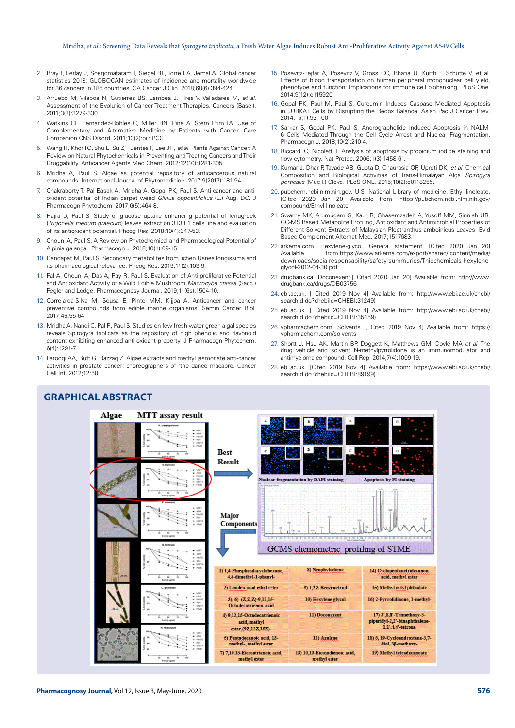- 2. Bray F, Ferlay J, Soerjomataram I, Siegel RL, Torre LA, Jemal A. Global cancer statistics 2018: GLOBOCAN estimates of incidence and mortality worldwide for 36 cancers in 185 countries. CA Cancer J Clin. 2018;68(6):394-424.
- 3. Arruebo M, Vilaboa N, Gutierrez BS, Lambea J, Tres V, Valladares M, et al. Assessment of the Evolution of Cancer Treatment Therapies. Cancers (Basel). 2011;3(3):3279-330.
- 4. Watkins CL, Fernandez-Robles C, Miller RN, Pine A, Stern Prim TA. Use of Complementary and Alternative Medicine by Patients with Cancer. Care Companion CNS Disord. 2011;13(2):pii: PCC.
- 5. Wang H, Khor TO,Shu L, Su Z, Fuentes F, Lee JH, et al. Plants Against Cancer: A Review on Natural Phytochemicals in Preventing and Treating Cancers and Their Druggability. Anticancer Agents Med Chem. 2012;12(10):1281-305.
- 6. Mridha A, Paul S. Algae as potential repository of anticancerous natural compounds. International Journal of Phytomedicine. 2017;9(2017):181-94.
- 7. Chakraborty T, Pal Basak A, Mridha A, Gopal PK, Paul S. Anti-cancer and antioxidant potential of Indian carpet weed Glinus oppositifolius (L.) Aug. DC. J Pharmacogn Phytochem. 2017;6(5):464-8.
- 8. Hajra D, Paul S. Study of glucose uptake enhancing potential of fenugreek (Trigonella foenum graecum) leaves extract on 3T3 L1 cells line and evaluation of its antioxidant potential. Phcog Res. 2018;10(4):347-53.
- 9. Chouni A, Paul S. A Review on Phytochemical and Pharmacological Potential of Alpinia galangal. Pharmacogn J. 2018;10(1):09-15.
- 10. Dandapat M, Paul S. Secondary metabolites from lichen Usnea longissima and its pharmacological relevance. Phcog Res. 2019;11(2):103-9.
- 11. Pal A, Chouni A, Das A, Ray R, Paul S. Evaluation of Anti-proliferative Potential and Antioxidant Activity of a Wild Edible Mushroom Macrocybe crassa (Sacc.) Pegler and Lodge. Pharmacognosy Journal. 2019;11(6s):1504-10
- 12. Correia-da-Silva M, Sousa E, Pinto MM, Kijjoa A. Anticancer and cancer preventive compounds from edible marine organisms. Semin Cancer Biol. 2017;46:55-64.
- 13. Mridha A, Nandi C, Pal R, Paul S. Studies on few fresh water green algal species reveals Spirogyra triplicata as the repository of high phenolic and flavonoid content exhibiting enhanced anti-oxidant property. J Pharmacogn Phytochem. 6(4):1291-7.
- 14. Farooqi AA, Butt G, Razzaq Z. Algae extracts and methyl jasmonate anti-cancer activities in prostate cancer: choreographers of 'the dance macabre. Cancer Cell Int. 2012;12:50.
- 15. Posevitz-Fejfar A, Posevitz V, Gross CC, Bhatia U, Kurth F, Schütte V, et al. Effects of blood transportation on human peripheral mononuclear cell yield, phenotype and function: Implications for immune cell biobanking. PLoS One. 2014;9(12):e115920.
- 16. Gopal PK, Paul M, Paul S. Curcumin Induces Caspase Mediated Apoptosis in JURKAT Cells by Disrupting the Redox Balance. Asian Pac J Cancer Prev. 2014;15(1):93-100.
- 17. Sarkar S, Gopal PK, Paul S, Andrographolide Induced Apoptosis in NALM-6 Cells Mediated Through the Cell Cycle Arrest and Nuclear Fragmentation. Pharmacogn J. 2018;10(2):210-4.
- 18. Riccardi C, Nicoletti I. Analysis of apoptosis by propidium iodide staining and flow cytometry. Nat Protoc. 2006;1(3):1458-61.
- 19. Kumar J, Dhar P, Tayade AB, Gupta D, Chaurasia OP, Upreti DK, et al. Chemical Composition and Biological Activities of Trans-Himalayan Alga Spirogyra porticalis (Muell.) Cleve. PLoS ONE. 2015;10(2):e0118255.
- 20. pubchem.ncbi.nlm.nih.gov, U.S. National Library of medicine. Ethyl linoleate. [Cited 2020 Jan 20] Available from: https://pubchem.ncbi.nlm.nih.gov/ compound/Ethyl-linoleate
- 21. Swamy MK, Arumugam G, Kaur R, Ghasemzadeh A, Yusoff MM, Sinniah UR. GC-MS Based Metabolite Profiling, Antioxidant and Antimicrobial Properties of Different Solvent Extracts of Malaysian Plectranthus amboinicus Leaves. Evid Based Complement Alternat Med. 2017;1517683.
- 22. arkema.com. Hexylene-glycol. General statement. [Cited 2020 Jan 20] Available from:https://www.arkema.com/export/shared/.content/media/ downloads/socialresponsability/safety-summuries/Thiochemicals-hexyleneglycol-2012-04-30.pdf
- 23. drugbank.ca. Doconexent.[ Cited 2020 Jan 20] Available from: http://www. drugbank.ca/drugs/DB03756
- 24. ebi.ac.uk. [ Cited 2019 Nov 4] Available from: http://www.ebi.ac.uk/chebi/ searchId.do?chebiId=CHEBI:31249)
- 25. ebi.ac.uk. [ Cited 2019 Nov 4] Available from: http://www.ebi.ac.uk/chebi/ searchId.do?chebiId=CHEBI:35459)
- 26. vpharmachem.com. Solvents. [ Cited 2019 Nov 4] Available from: https:// vpharmachem.com/solvents
- 27. Shortt J, Hsu AK, Martin BP, Doggett K, Matthews GM, Doyle MA et al. The drug vehicle and solvent N-methylpyrrolidone is an immunomodulator and antimyeloma compound. Cell Rep. 2014;7(4):1009-19.
- 28. ebi.ac.uk. [Cited 2019 Nov 4] Available from: https://www.ebi.ac.uk/chebi/ searchId.do?chebiId=CHEBI:89199)



#### **GRAPHICAL ABSTRACT**